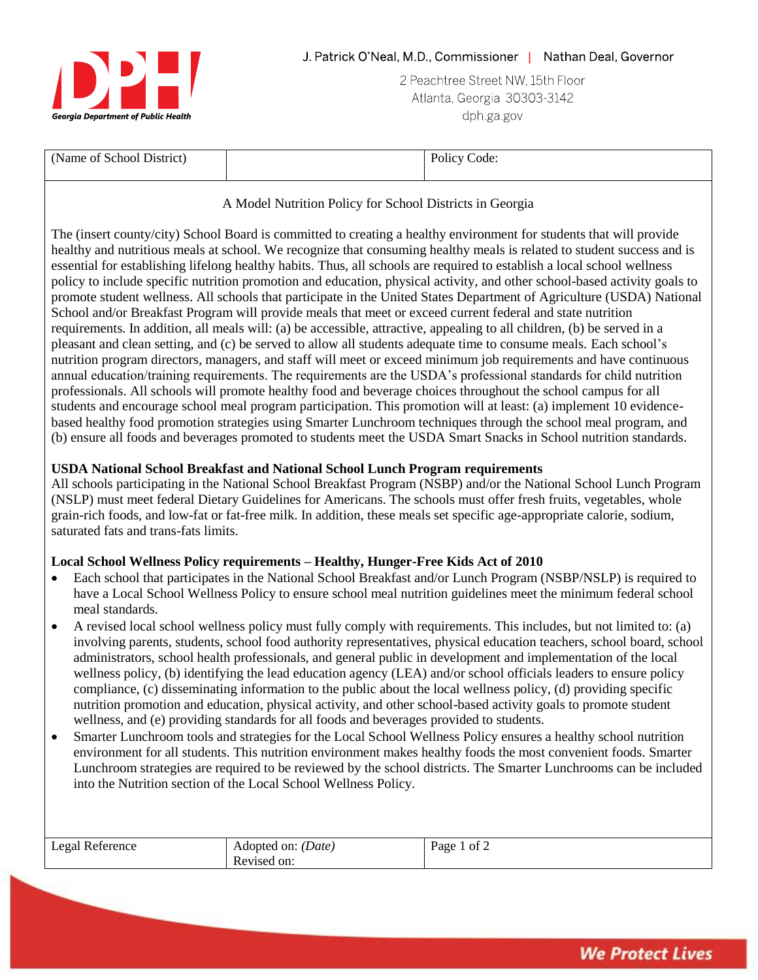

2 Peachtree Street NW, 15th Floor Atlanta, Georgia 30303-3142 dph ga gov

| (Name of School District) | code:<br>$\sim$ 0.010 $\sigma$<br>. |
|---------------------------|-------------------------------------|
|                           |                                     |

## A Model Nutrition Policy for School Districts in Georgia

The (insert county/city) School Board is committed to creating a healthy environment for students that will provide healthy and nutritious meals at school. We recognize that consuming healthy meals is related to student success and is essential for establishing lifelong healthy habits. Thus, all schools are required to establish a local school wellness policy to include specific nutrition promotion and education, physical activity, and other school-based activity goals to promote student wellness. All schools that participate in the United States Department of Agriculture (USDA) National School and/or Breakfast Program will provide meals that meet or exceed current federal and state nutrition requirements. In addition, all meals will: (a) be accessible, attractive, appealing to all children, (b) be served in a pleasant and clean setting, and (c) be served to allow all students adequate time to consume meals. Each school's nutrition program directors, managers, and staff will meet or exceed minimum job requirements and have continuous annual education/training requirements. The requirements are the USDA's professional standards for child nutrition professionals. All schools will promote healthy food and beverage choices throughout the school campus for all students and encourage school meal program participation. This promotion will at least: (a) implement 10 evidencebased healthy food promotion strategies using Smarter Lunchroom techniques through the school meal program, and (b) ensure all foods and beverages promoted to students meet the USDA Smart Snacks in School nutrition standards.

## **USDA National School Breakfast and National School Lunch Program requirements**

All schools participating in the National School Breakfast Program (NSBP) and/or the National School Lunch Program (NSLP) must meet federal Dietary Guidelines for Americans. The schools must offer fresh fruits, vegetables, whole grain-rich foods, and low-fat or fat-free milk. In addition, these meals set specific age-appropriate calorie, sodium, saturated fats and trans-fats limits.

## **Local School Wellness Policy requirements – Healthy, Hunger-Free Kids Act of 2010**

- Each school that participates in the National School Breakfast and/or Lunch Program (NSBP/NSLP) is required to have a Local School Wellness Policy to ensure school meal nutrition guidelines meet the minimum federal school meal standards.
- A revised local school wellness policy must fully comply with requirements. This includes, but not limited to: (a) involving parents, students, school food authority representatives, physical education teachers, school board, school administrators, school health professionals, and general public in development and implementation of the local wellness policy, (b) identifying the lead education agency (LEA) and/or school officials leaders to ensure policy compliance, (c) disseminating information to the public about the local wellness policy, (d) providing specific nutrition promotion and education, physical activity, and other school-based activity goals to promote student wellness, and (e) providing standards for all foods and beverages provided to students.
- Smarter Lunchroom tools and strategies for the Local School Wellness Policy ensures a healthy school nutrition environment for all students. This nutrition environment makes healthy foods the most convenient foods. Smarter Lunchroom strategies are required to be reviewed by the school districts. The Smarter Lunchrooms can be included into the Nutrition section of the Local School Wellness Policy.

| Legal Reference | Adopted on: <i>(Date)</i> | Page<br>of $\angle$ |
|-----------------|---------------------------|---------------------|
|                 | Revised on:<br>$\sim$     |                     |